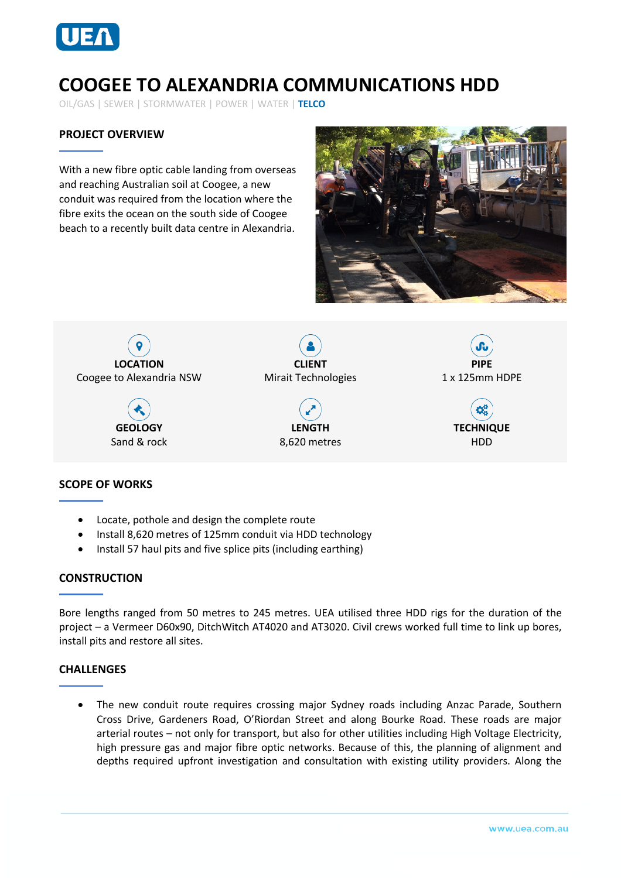

# **COOGEE TO ALEXANDRIA COMMUNICATIONS HDD**

OIL/GAS | SEWER | STORMWATER | POWER | WATER | **TELCO**

## **PROJECT OVERVIEW**

With a new fibre optic cable landing from overseas and reaching Australian soil at Coogee, a new conduit was required from the location where the fibre exits the ocean on the south side of Coogee beach to a recently built data centre in Alexandria.





## **SCOPE OF WORKS**

- Locate, pothole and design the complete route
- Install 8,620 metres of 125mm conduit via HDD technology
- Install 57 haul pits and five splice pits (including earthing)

#### **CONSTRUCTION**

Bore lengths ranged from 50 metres to 245 metres. UEA utilised three HDD rigs for the duration of the project – a Vermeer D60x90, DitchWitch AT4020 and AT3020. Civil crews worked full time to link up bores, install pits and restore all sites.

#### **CHALLENGES**

• The new conduit route requires crossing major Sydney roads including Anzac Parade, Southern Cross Drive, Gardeners Road, O'Riordan Street and along Bourke Road. These roads are major arterial routes – not only for transport, but also for other utilities including High Voltage Electricity, high pressure gas and major fibre optic networks. Because of this, the planning of alignment and depths required upfront investigation and consultation with existing utility providers. Along the